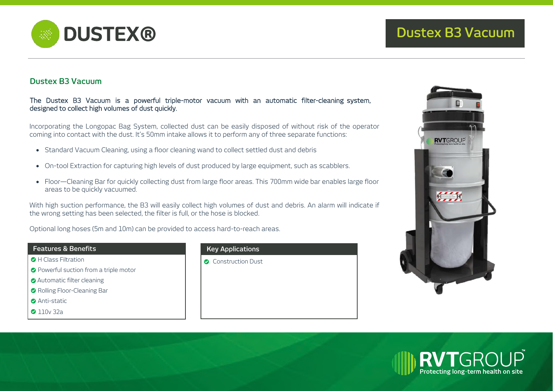

# **Dustex B3 Vacuum**

### The Dustex B3 Vacuum is a powerful triple-motor vacuum with an automatic filter-cleaning system, designed to collect high volumes of dust quickly.

Incorporating the Longopac Bag System, collected dust can be easily disposed of without risk of the operator coming into contact with the dust. It's 50mm intake allows it to perform any of three separate functions:

- Standard Vacuum Cleaning, using a floor cleaning wand to collect settled dust and debris
- On-tool Extraction for capturing high levels of dust produced by large equipment, such as scabblers.
- Floor—Cleaning Bar for quickly collecting dust from large floor areas. This 700mm wide bar enables large floor areas to be quickly vacuumed.

With high suction performance, the B3 will easily collect high volumes of dust and debris. An alarm will indicate if the wrong setting has been selected, the filter is full, or the hose is blocked.

Optional long hoses (5m and 10m) can be provided to access hard-to-reach areas.

#### **Features & Benefits**

- **C** H Class Filtration
- **O** Powerful suction from a triple motor
- **Automatic filter cleaning**
- Rolling Floor-Cleaning Bar
- **Anti-static**
- **2** 110v 32a

## **Key Applications**

**Construction Dust**